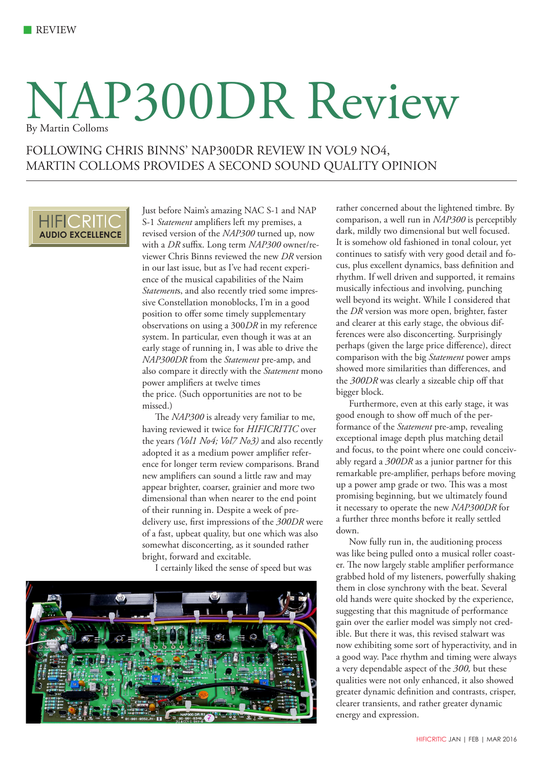## NAP300DR Review By Martin Colloms

### FOLLOWING CHRIS BINNS' NAP300DR REVIEW IN VOL9 NO4, MARTIN COLLOMS PROVIDES A SECOND SOUND QUALITY OPINION



Just before Naim's amazing NAC S-1 and NAP S-1 *Statement* amplifiers left my premises, a revised version of the *NAP300* turned up, now with a *DR* suffix. Long term *NAP300* owner/reviewer Chris Binns reviewed the new *DR* version in our last issue, but as I've had recent experience of the musical capabilities of the Naim *Statement*s, and also recently tried some impressive Constellation monoblocks, I'm in a good position to offer some timely supplementary observations on using a 300*DR* in my reference system. In particular, even though it was at an early stage of running in, I was able to drive the *NAP300DR* from the *Statement* pre-amp, and also compare it directly with the *Statement* mono power amplifiers at twelve times the price. (Such opportunities are not to be missed.)

The *NAP300* is already very familiar to me, having reviewed it twice for *HIFICRITIC* over the years *(Vol1 No4; Vol7 No3)* and also recently adopted it as a medium power amplifier reference for longer term review comparisons. Brand new amplifiers can sound a little raw and may appear brighter, coarser, grainier and more two dimensional than when nearer to the end point of their running in. Despite a week of predelivery use, first impressions of the *300DR* were of a fast, upbeat quality, but one which was also somewhat disconcerting, as it sounded rather bright, forward and excitable.

I certainly liked the sense of speed but was



rather concerned about the lightened timbre. By comparison, a well run in *NAP300* is perceptibly dark, mildly two dimensional but well focused. It is somehow old fashioned in tonal colour, yet continues to satisfy with very good detail and focus, plus excellent dynamics, bass definition and rhythm. If well driven and supported, it remains musically infectious and involving, punching well beyond its weight. While I considered that the *DR* version was more open, brighter, faster and clearer at this early stage, the obvious differences were also disconcerting. Surprisingly perhaps (given the large price difference), direct comparison with the big *Statement* power amps showed more similarities than differences, and the *300DR* was clearly a sizeable chip off that bigger block.

Furthermore, even at this early stage, it was good enough to show off much of the performance of the *Statement* pre-amp, revealing exceptional image depth plus matching detail and focus, to the point where one could conceivably regard a *300DR* as a junior partner for this remarkable pre-amplifier, perhaps before moving up a power amp grade or two. This was a most promising beginning, but we ultimately found it necessary to operate the new *NAP300DR* for a further three months before it really settled down.

Now fully run in, the auditioning process was like being pulled onto a musical roller coaster. The now largely stable amplifier performance grabbed hold of my listeners, powerfully shaking them in close synchrony with the beat. Several old hands were quite shocked by the experience, suggesting that this magnitude of performance gain over the earlier model was simply not credible. But there it was, this revised stalwart was now exhibiting some sort of hyperactivity, and in a good way. Pace rhythm and timing were always a very dependable aspect of the *300,* but these qualities were not only enhanced, it also showed greater dynamic definition and contrasts, crisper, clearer transients, and rather greater dynamic energy and expression.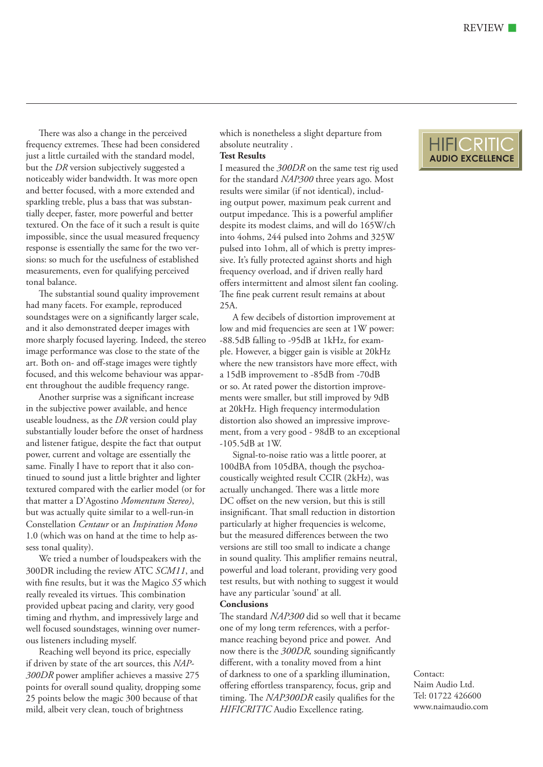There was also a change in the perceived frequency extremes. These had been considered just a little curtailed with the standard model, but the *DR* version subjectively suggested a noticeably wider bandwidth. It was more open and better focused, with a more extended and sparkling treble, plus a bass that was substantially deeper, faster, more powerful and better textured. On the face of it such a result is quite impossible, since the usual measured frequency response is essentially the same for the two versions: so much for the usefulness of established measurements, even for qualifying perceived tonal balance.

The substantial sound quality improvement had many facets. For example, reproduced soundstages were on a significantly larger scale, and it also demonstrated deeper images with more sharply focused layering. Indeed, the stereo image performance was close to the state of the art. Both on- and off-stage images were tightly focused, and this welcome behaviour was apparent throughout the audible frequency range.

Another surprise was a significant increase in the subjective power available, and hence useable loudness, as the *DR* version could play substantially louder before the onset of hardness and listener fatigue, despite the fact that output power, current and voltage are essentially the same. Finally I have to report that it also continued to sound just a little brighter and lighter textured compared with the earlier model (or for that matter a D'Agostino *Momentum Stereo)*, but was actually quite similar to a well-run-in Constellation *Centaur* or an *Inspiration Mono*  1.0 (which was on hand at the time to help assess tonal quality).

We tried a number of loudspeakers with the 300DR including the review ATC *SCM11*, and with fine results, but it was the Magico *S5* which really revealed its virtues. This combination provided upbeat pacing and clarity, very good timing and rhythm, and impressively large and well focused soundstages, winning over numerous listeners including myself.

Reaching well beyond its price, especially if driven by state of the art sources, this *NAP-300DR* power amplifier achieves a massive 275 points for overall sound quality, dropping some 25 points below the magic 300 because of that mild, albeit very clean, touch of brightness

which is nonetheless a slight departure from absolute neutrality .

#### **Test Results**

I measured the *300DR* on the same test rig used for the standard *NAP300* three years ago. Most results were similar (if not identical), including output power, maximum peak current and output impedance. This is a powerful amplifier despite its modest claims, and will do 165W/ch into 4ohms, 244 pulsed into 2ohms and 325W pulsed into 1ohm, all of which is pretty impressive. It's fully protected against shorts and high frequency overload, and if driven really hard offers intermittent and almost silent fan cooling. The fine peak current result remains at about 25A.

A few decibels of distortion improvement at low and mid frequencies are seen at 1W power: -88.5dB falling to -95dB at 1kHz, for example. However, a bigger gain is visible at 20kHz where the new transistors have more effect, with a 15dB improvement to -85dB from -70dB or so. At rated power the distortion improvements were smaller, but still improved by 9dB at 20kHz. High frequency intermodulation distortion also showed an impressive improvement, from a very good - 98dB to an exceptional -105.5dB at 1W.

Signal-to-noise ratio was a little poorer, at 100dBA from 105dBA, though the psychoacoustically weighted result CCIR (2kHz), was actually unchanged. There was a little more DC offset on the new version, but this is still insignificant. That small reduction in distortion particularly at higher frequencies is welcome, but the measured differences between the two versions are still too small to indicate a change in sound quality. This amplifier remains neutral, powerful and load tolerant, providing very good test results, but with nothing to suggest it would have any particular 'sound' at all.

#### **Conclusions**

The standard *NAP300* did so well that it became one of my long term references, with a performance reaching beyond price and power. And now there is the *300DR,* sounding significantly different, with a tonality moved from a hint of darkness to one of a sparkling illumination, offering effortless transparency, focus, grip and timing. The *NAP300DR* easily qualifies for the *HIFICRITIC* Audio Excellence rating.



Contact: Naim Audio Ltd. Tel: 01722 426600 www.naimaudio.com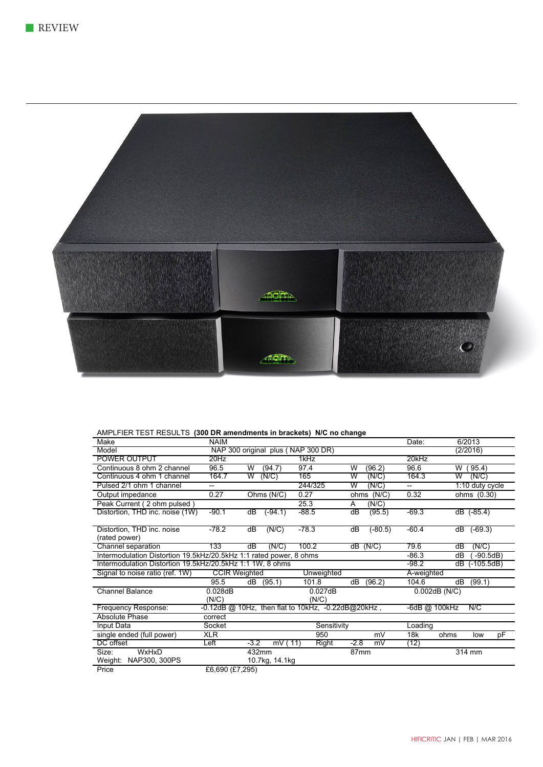

#### AMPLFIER TEST RESULTS **(300 DR amendments in brackets) N/C no change**

| Make                                                               | <b>NAIM</b>          |                                                          |             |                  | Date:                              | 6/2013             |
|--------------------------------------------------------------------|----------------------|----------------------------------------------------------|-------------|------------------|------------------------------------|--------------------|
| Model                                                              |                      | NAP 300 original plus (NAP 300 DR)                       |             |                  |                                    | (2/2016)           |
| <b>POWER OUTPUT</b>                                                | 20Hz                 |                                                          | 1kHz        |                  | 20kHz                              |                    |
| Continuous 8 ohm 2 channel                                         | 96.5                 | (94.7)<br>W                                              | 97.4        | W<br>(96.2)      | 96.6                               | (95.4)<br>W        |
| Continuous 4 ohm 1 channel                                         | 164.7                | W<br>(N/C)                                               | 165         | W<br>(N/C)       | 164.3                              | (N/C)<br>W         |
| Pulsed 2/1 ohm 1 channel                                           | --                   |                                                          | 244/325     | w<br>(N/C)       | $\hspace{0.05cm} -\hspace{0.05cm}$ | 1:10 duty cycle    |
| Output impedance                                                   | 0.27                 | Ohms (N/C)                                               | 0.27        | (N/C)<br>ohms    | 0.32                               | ohms (0.30)        |
| Peak Current (2 ohm pulsed)                                        |                      |                                                          | 25.3        | (N/C)<br>A       |                                    |                    |
| Distortion, THD inc. noise (1W)                                    | $-90.1$              | dB<br>$(-94.1)$                                          | -88.5       | dB<br>(95.5)     | $-69.3$                            | dB (-85.4)         |
|                                                                    |                      |                                                          |             |                  |                                    |                    |
| Distortion, THD inc. noise                                         | -78.2                | (N/C)<br>dB                                              | -78.3       | (-80.5)<br>ďВ    | -60.4                              | $(-69.3)$<br>dB    |
| (rated power)                                                      |                      |                                                          |             |                  |                                    |                    |
| Channel separation                                                 | 133                  | (N/C)<br>dB                                              | 100.2       | $dB$ (N/C)       | 79.6                               | (N/C)<br>dВ        |
| Intermodulation Distortion 19.5kHz/20.5kHz 1:1 rated power, 8 ohms |                      |                                                          |             |                  | $-86.3$                            | $-90.5dB$ )<br>dB  |
| Intermodulation Distortion 19.5kHz/20.5kHz 1:1 1W, 8 ohms          |                      |                                                          |             |                  | $-98.2$                            | $(-105.5dB)$<br>dB |
| Signal to noise ratio (ref. 1W)                                    | <b>CCIR Weighted</b> |                                                          | Unweighted  |                  | A-weighted                         |                    |
|                                                                    | 95.5                 | dB<br>(95.1)                                             | 101.8       | (96.2)<br>dB     | 104.6                              | (99.1)<br>dB       |
| <b>Channel Balance</b>                                             | 0.028dB              |                                                          | 0.027dB     |                  | $0.002$ dB $(N/C)$                 |                    |
|                                                                    | (N/C)                |                                                          | (N/C)       |                  |                                    |                    |
| Frequency Response:                                                |                      | $-0.12$ dB @ 10Hz, then flat to 10kHz, $-0.22$ dB@20kHz, |             |                  | -6dB @ 100kHz                      | N/C                |
| Absolute Phase                                                     | correct              |                                                          |             |                  |                                    |                    |
| Input Data                                                         | Socket               |                                                          | Sensitivity |                  | Loading                            |                    |
| single ended (full power)                                          | <b>XLR</b>           |                                                          | 950         | mV               | 18k                                | pF<br>ohms<br>low  |
| DC offset                                                          | Left                 | $-3.2$<br>mV(11)                                         | Right       | $-2.8$<br>mV     | (12)                               |                    |
| WxHxD<br>Size:                                                     |                      | 432mm                                                    |             | 87 <sub>mm</sub> |                                    | 314 mm             |
| NAP300, 300PS<br>Weight:                                           |                      | 10.7kg, 14.1kg                                           |             |                  |                                    |                    |
| <b>Drice</b>                                                       | £6,600 (£7,205)      |                                                          |             |                  |                                    |                    |

Price £6,690 (£7,295)